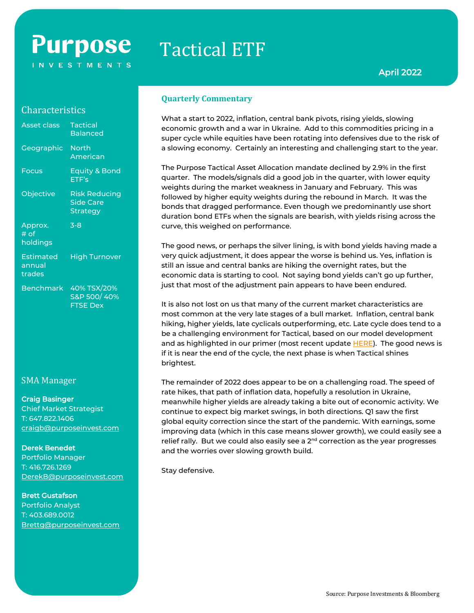# **Purpose INVESTMENTS**

# Tactical ETF

## **Characteristics**

| <b>Asset class</b>            | <b>Tactical</b><br><b>Balanced</b>                   |
|-------------------------------|------------------------------------------------------|
| Geographic                    | <b>North</b><br>American                             |
| Focus                         | Equity & Bond<br>ETF's                               |
| Objective                     | Risk Reducing<br><b>Side Care</b><br><b>Strategy</b> |
| Approx.<br># of<br>holdings   | $3 - 8$                                              |
| Estimated<br>annual<br>trades | <b>High Turnover</b>                                 |
| <b>Benchmark</b>              | 40% TSX/20%<br>S&P 500/40%<br><b>FTSE Dex</b>        |

# SMA Manager

#### Craig Basinger

Chief Market Strategist T: 647.822.1406 [craigb@purposeinvest.com](mailto:craigb@purposeinvest.com)

#### Derek Benedet

Portfolio Manager T: 416.726.1269 [DerekB@purposeinvest.com](mailto:DerekB@purposeinvest.com)

#### Brett Gustafson

Portfolio Analyst T: 403.689.0012 [Brettg@purposeinvest.com](mailto:Brettg@purposeinvest.com)

#### **Quarterly Commentary**

What a start to 2022, inflation, central bank pivots, rising yields, slowing economic growth and a war in Ukraine. Add to this commodities pricing in a super cycle while equities have been rotating into defensives due to the risk of a slowing economy. Certainly an interesting and challenging start to the year.

The Purpose Tactical Asset Allocation mandate declined by 2.9% in the first quarter. The models/signals did a good job in the quarter, with lower equity weights during the market weakness in January and February. This was followed by higher equity weights during the rebound in March. It was the bonds that dragged performance. Even though we predominantly use short duration bond ETFs when the signals are bearish, with yields rising across the curve, this weighed on performance.

The good news, or perhaps the silver lining, is with bond yields having made a very quick adjustment, it does appear the worse is behind us. Yes, inflation is still an issue and central banks are hiking the overnight rates, but the economic data is starting to cool. Not saying bond yields can't go up further, just that most of the adjustment pain appears to have been endured.

It is also not lost on us that many of the current market characteristics are most common at the very late stages of a bull market. Inflation, central bank hiking, higher yields, late cyclicals outperforming, etc. Late cycle does tend to a be a challenging environment for Tactical, based on our model development and as highlighted in our primer (most recent update [HERE\)](https://documents.purposeinvest.com/Docs/RTA/educational/en/Purpose%20Tactical%20Asset%20Allocation%20Fund%20Educational%202022-03-31.pdf). The good news is if it is near the end of the cycle, the next phase is when Tactical shines brightest.

The remainder of 2022 does appear to be on a challenging road. The speed of rate hikes, that path of inflation data, hopefully a resolution in Ukraine, meanwhile higher yields are already taking a bite out of economic activity. We continue to expect big market swings, in both directions. Q1 saw the first global equity correction since the start of the pandemic. With earnings, some improving data (which in this case means slower growth), we could easily see a relief rally. But we could also easily see a  $2<sup>nd</sup>$  correction as the year progresses and the worries over slowing growth build.

Stay defensive.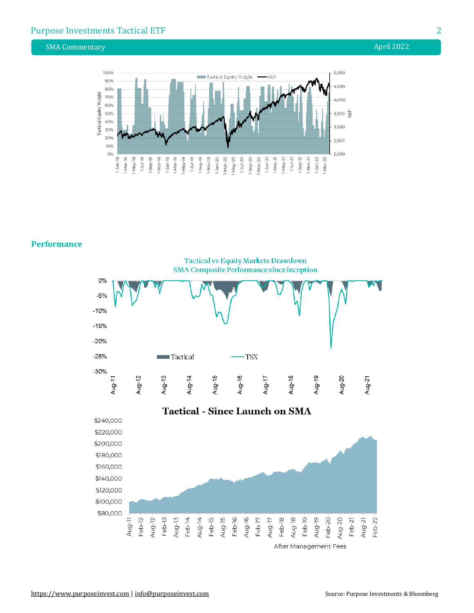# Purpose Investments Tactical ETF 22 22

SMA Commentary **April 2022** 



#### **Performance**

SMA Composite Performance since inception 0% w  $-5%$  $-10%$  $-15%$  $-20%$  $-25%$ **TSX Tactical**  $-30%$ Aug-16 Aug-11 Aug-12 Aug-13 Aug-14 Aug-15 Aug-17 Aug-18 Aug-19 Aug-20 Aug-21 **Tactical - Since Launch on SMA** \$240,000 \$220,000 \$200,000 \$180,000 \$160,000 \$140,000 \$120,000 \$100,000 \$80,000 Aug-17 Aug-19  $Feb-12$ Aug-12  $Feb-13$  $Feb-15$ Aug-15 Feb-16 Aug-16  $Feb-17$  $Feb-18$ Aug-18 Feb-19 Feb-20 Aug-20 Aug-11 Aug-13 Feb-14 Aug-14 Feb-22  $Feb-21$  $Aug-21$ 

**Tactical vs Equity Markets Drawdown** 

After Management Fees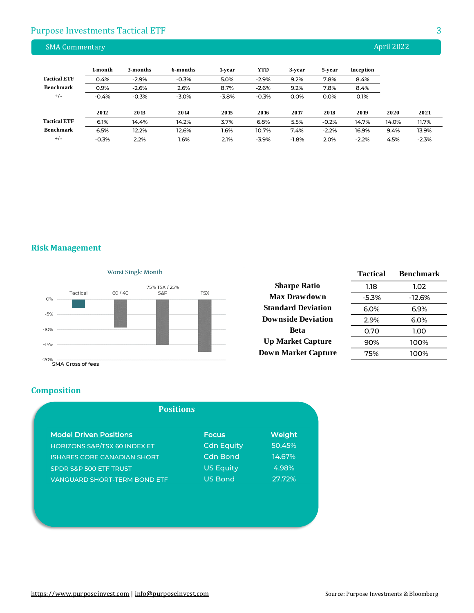# Purpose Investments Tactical ETF 3 3

| <b>SMA Commentary</b> |         |          |          |         |            |         |         |           | April 2022 |         |
|-----------------------|---------|----------|----------|---------|------------|---------|---------|-----------|------------|---------|
|                       | 1-month | 3-months | 6-months |         | <b>YTD</b> |         |         |           |            |         |
| <b>Tactical ETF</b>   |         |          |          | 1-year  |            | 3-year  | 5-year  | Inception |            |         |
|                       | 0.4%    | $-2.9%$  | $-0.3%$  | 5.0%    | $-2.9%$    | 9.2%    | 7.8%    | 8.4%      |            |         |
| <b>Benchmark</b>      | 0.9%    | $-2.6%$  | 2.6%     | 8.7%    | $-2.6%$    | 9.2%    | 7.8%    | 8.4%      |            |         |
| $+/-$                 | $-0.4%$ | $-0.3%$  | $-3.0%$  | $-3.8%$ | $-0.3%$    | 0.0%    | 0.0%    | 0.1%      |            |         |
|                       | 2012    | 2013     | 2014     | 2015    | 2016       | 2017    | 2018    | 2019      | 2020       | 2021    |
| <b>Tactical ETF</b>   | 6.1%    | 14.4%    | 14.2%    | 3.7%    | 6.8%       | 5.5%    | $-0.2%$ | 14.7%     | 14.0%      | 11.7%   |
| <b>Benchmark</b>      | 6.5%    | 12.2%    | 12.6%    | 1.6%    | 10.7%      | 7.4%    | $-2.2%$ | 16.9%     | 9.4%       | 13.9%   |
| $+/-$                 | $-0.3%$ | 2.2%     | 1.6%     | 2.1%    | $-3.9%$    | $-1.8%$ | 2.0%    | $-2.2%$   | 4.5%       | $-2.3%$ |

**Risk Management**



|                            | <b>Tactical</b> | <b>Benchmark</b> |
|----------------------------|-----------------|------------------|
| <b>Sharpe Ratio</b>        | 1.18            | 1.02             |
| Max Drawdown               | $-5.3%$         | $-12.6%$         |
| <b>Standard Deviation</b>  | $6.0\%$         | 6.9%             |
| <b>Downside Deviation</b>  | 2.9%            | 6.0%             |
| Beta                       | 0.70            | 1.00             |
| <b>Up Market Capture</b>   | 90%             | 100%             |
| <b>Down Market Capture</b> | 75%             | 100%             |

**Composition**

| <b>Positions</b>                        |                   |               |  |
|-----------------------------------------|-------------------|---------------|--|
| <b>Model Driven Positions</b>           | <b>Focus</b>      | <b>Weight</b> |  |
| <b>HORIZONS S&amp;P/TSX 60 INDEX ET</b> | <b>Cdn Equity</b> | 50.45%        |  |
| <b>ISHARES CORE CANADIAN SHORT</b>      | <b>Cdn Bond</b>   | 14.67%        |  |
| <b>SPDR S&amp;P 500 ETF TRUST</b>       | <b>US Equity</b>  | 4.98%         |  |
| <b>VANGUARD SHORT-TERM BOND ETF</b>     | <b>US Bond</b>    | 27.72%        |  |